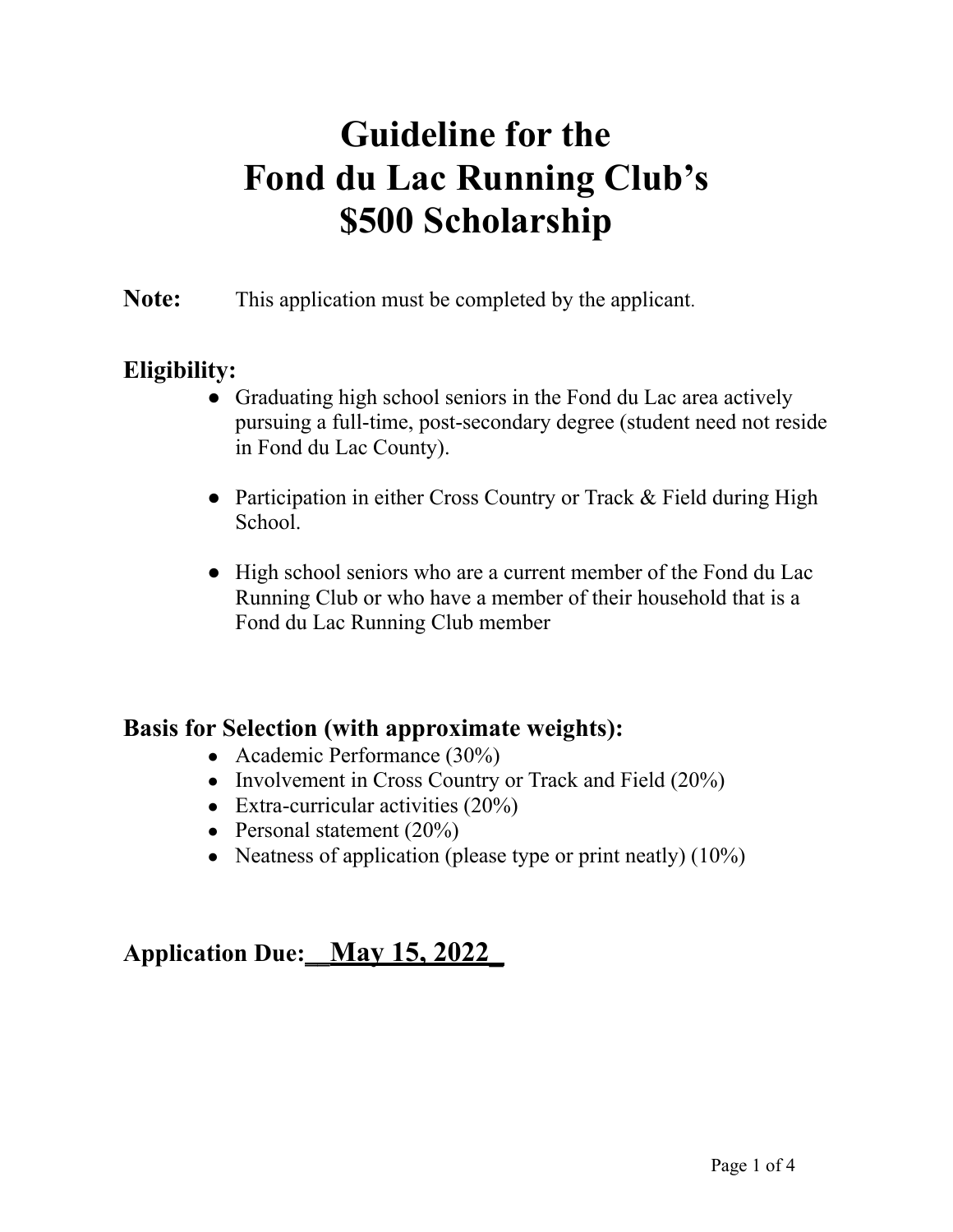# **Guideline for the Fond du Lac Running Club's \$500 Scholarship**

**Note:** This application must be completed by the applicant.

## **Eligibility:**

- Graduating high school seniors in the Fond du Lac area actively pursuing a full-time, post-secondary degree (student need not reside in Fond du Lac County).
- Participation in either Cross Country or Track & Field during High School.
- High school seniors who are a current member of the Fond du Lac Running Club or who have a member of their household that is a Fond du Lac Running Club member

## **Basis for Selection (with approximate weights):**

- Academic Performance  $(30\%)$
- Involvement in Cross Country or Track and Field  $(20\%)$
- Extra-curricular activities  $(20\%)$
- Personal statement  $(20\%)$
- Neatness of application (please type or print neatly)  $(10\%)$

# **Application Due:\_\_May 15, 2022\_**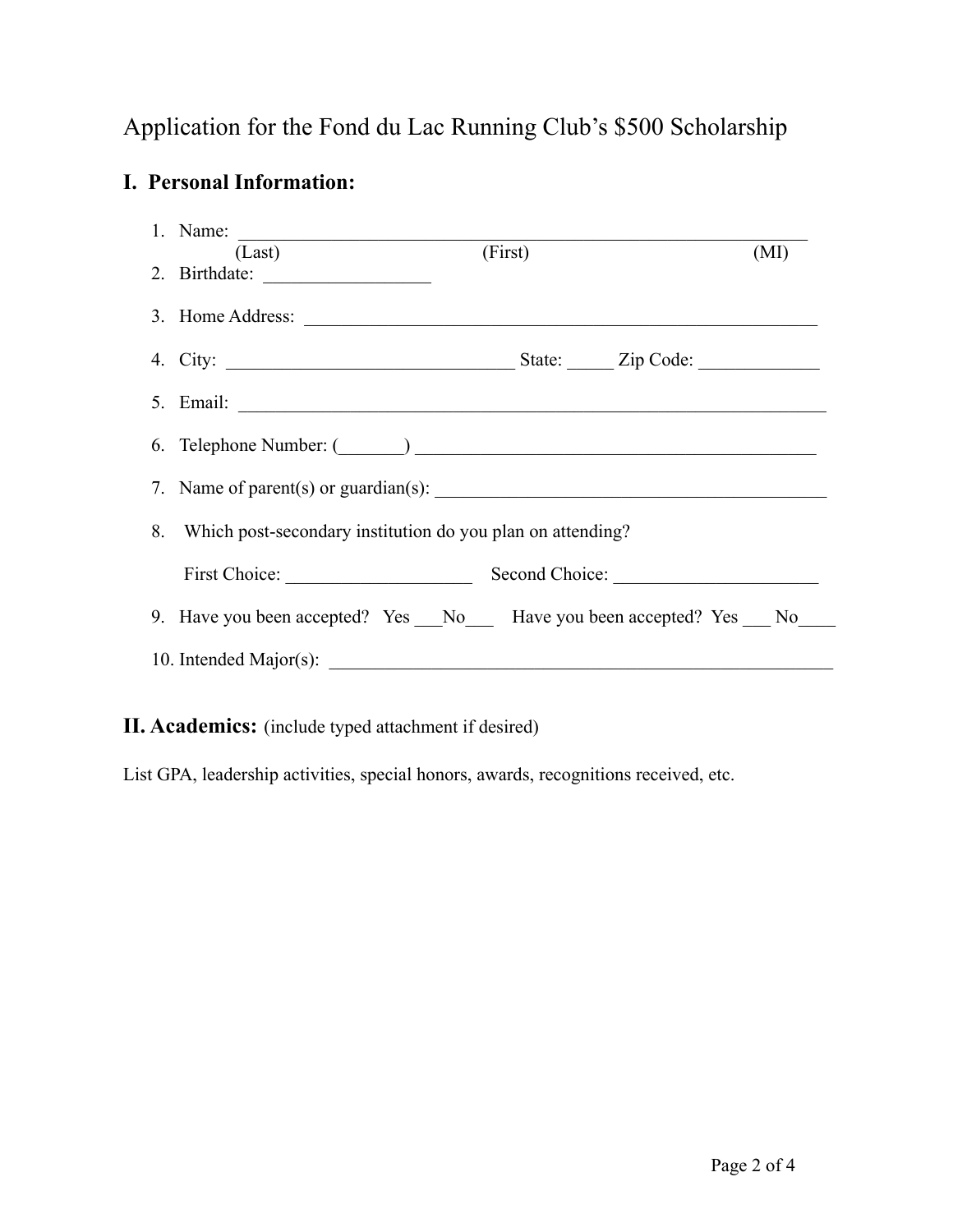## Application for the Fond du Lac Running Club's \$500 Scholarship

### **I. Personal Information:**

|  | 1. Name: $\frac{1}{\sqrt{15}}$                                              |         |      |
|--|-----------------------------------------------------------------------------|---------|------|
|  | (Last)                                                                      | (First) | (MI) |
|  | 2. Birthdate: $\frac{1}{\sqrt{1-\frac{1}{2}} \cdot \frac{1}{2}}$            |         |      |
|  | 3. Home Address:                                                            |         |      |
|  |                                                                             |         |      |
|  |                                                                             |         |      |
|  |                                                                             |         |      |
|  |                                                                             |         |      |
|  |                                                                             |         |      |
|  |                                                                             |         |      |
|  | 8. Which post-secondary institution do you plan on attending?               |         |      |
|  |                                                                             |         |      |
|  | First Choice: Second Choice: Second Choice:                                 |         |      |
|  | 9. Have you been accepted? Yes __No___ Have you been accepted? Yes __ No___ |         |      |
|  |                                                                             |         |      |

**II. Academics:** (include typed attachment if desired)

List GPA, leadership activities, special honors, awards, recognitions received, etc.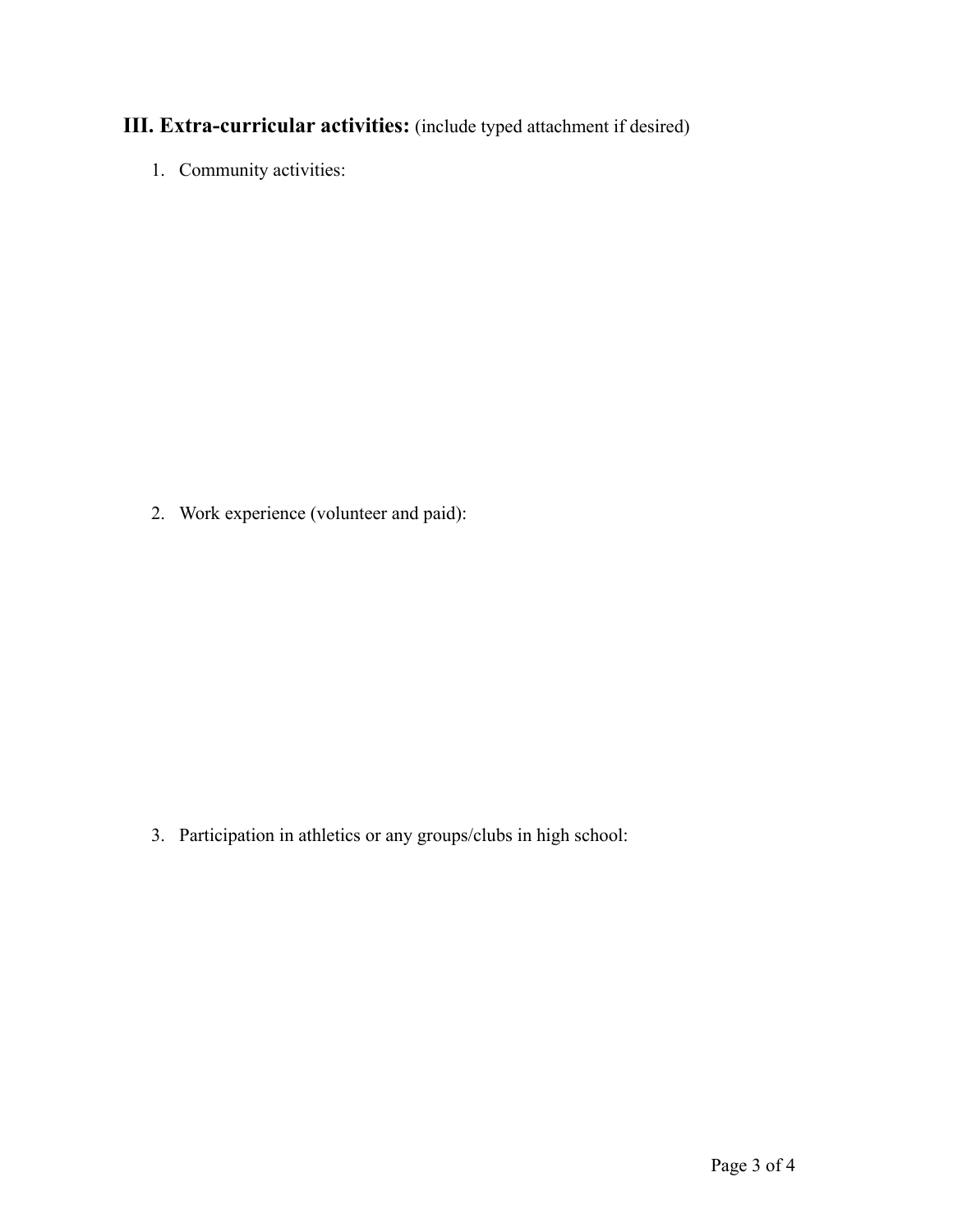## **III. Extra-curricular activities:** (include typed attachment if desired)

1. Community activities:

2. Work experience (volunteer and paid):

3. Participation in athletics or any groups/clubs in high school: